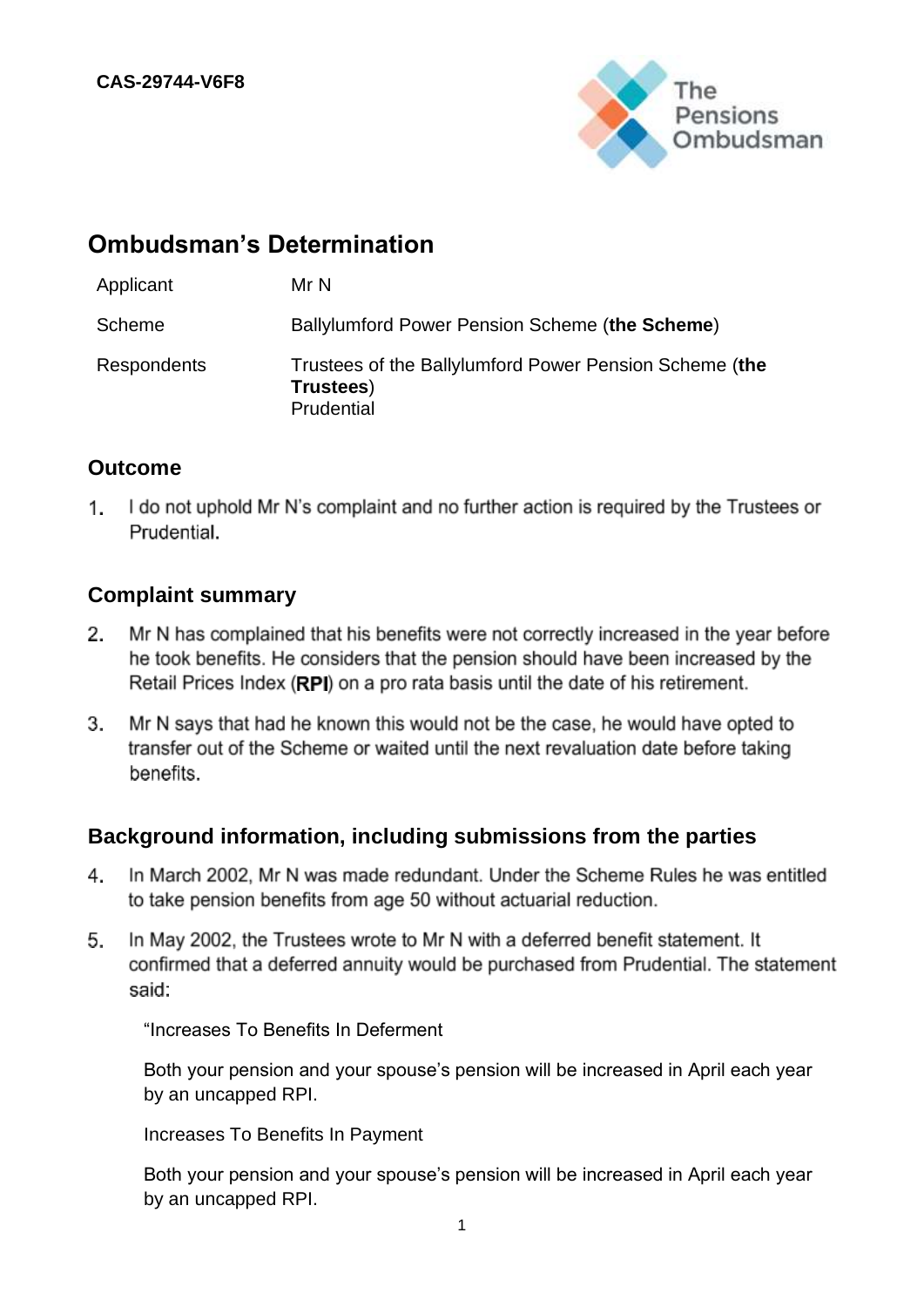

# **Ombudsman's Determination**

| Applicant   | Mr N                                                                              |
|-------------|-----------------------------------------------------------------------------------|
| Scheme      | Ballylumford Power Pension Scheme (the Scheme)                                    |
| Respondents | Trustees of the Ballylumford Power Pension Scheme (the<br>Trustees)<br>Prudential |

## **Outcome**

 $1_{-}$ I do not uphold Mr N's complaint and no further action is required by the Trustees or Prudential.

## **Complaint summary**

- Mr N has complained that his benefits were not correctly increased in the year before  $2.$ he took benefits. He considers that the pension should have been increased by the Retail Prices Index (RPI) on a pro rata basis until the date of his retirement.
- Mr N says that had he known this would not be the case, he would have opted to 3. transfer out of the Scheme or waited until the next revaluation date before taking benefits.

## **Background information, including submissions from the parties**

- In March 2002, Mr N was made redundant. Under the Scheme Rules he was entitled 4. to take pension benefits from age 50 without actuarial reduction.
- In May 2002, the Trustees wrote to Mr N with a deferred benefit statement. It 5. confirmed that a deferred annuity would be purchased from Prudential. The statement said:

"Increases To Benefits In Deferment

Both your pension and your spouse's pension will be increased in April each year by an uncapped RPI.

Increases To Benefits In Payment

Both your pension and your spouse's pension will be increased in April each year by an uncapped RPI.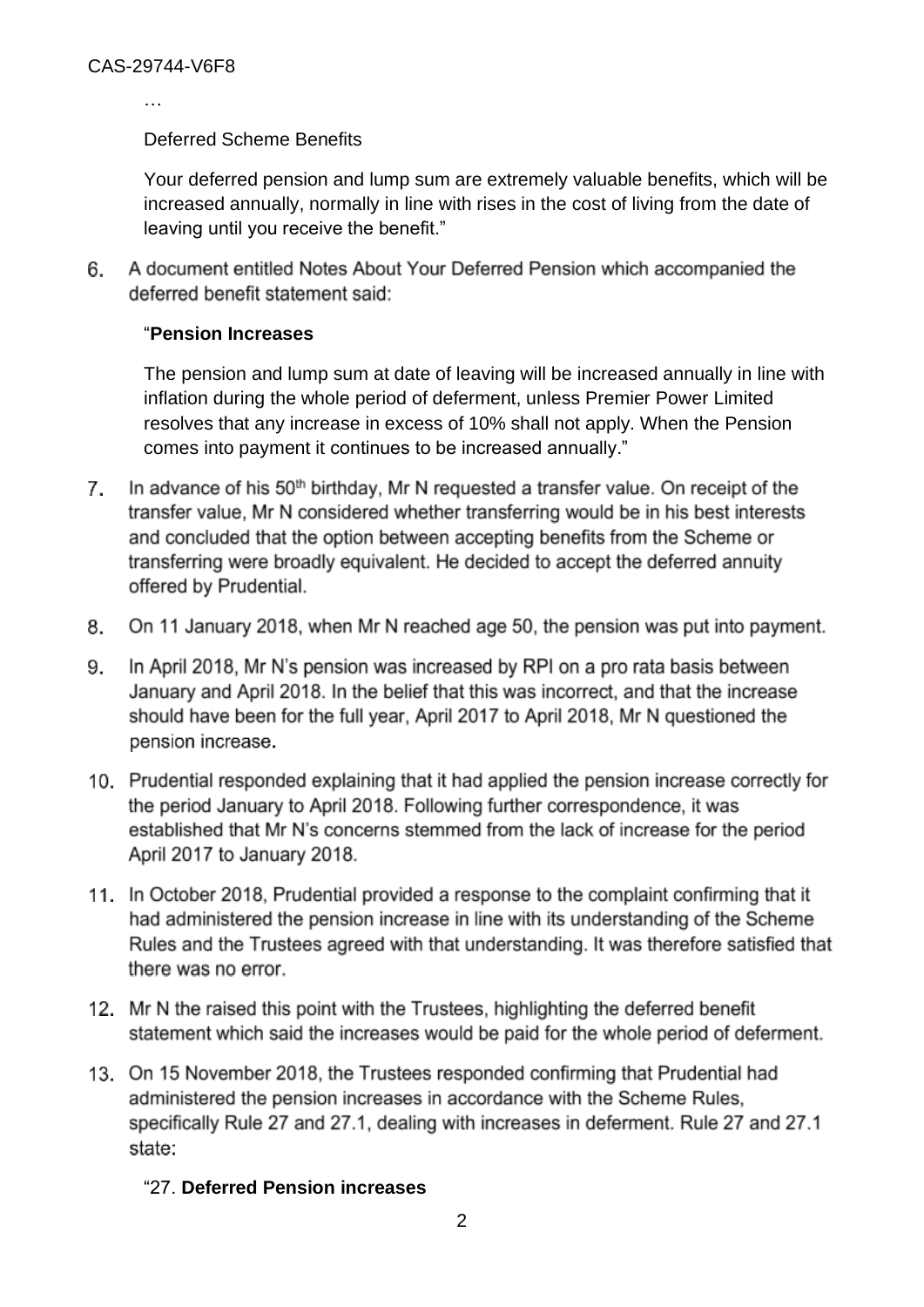…

#### Deferred Scheme Benefits

Your deferred pension and lump sum are extremely valuable benefits, which will be increased annually, normally in line with rises in the cost of living from the date of leaving until you receive the benefit."

6. A document entitled Notes About Your Deferred Pension which accompanied the deferred benefit statement said:

#### "**Pension Increases**

The pension and lump sum at date of leaving will be increased annually in line with inflation during the whole period of deferment, unless Premier Power Limited resolves that any increase in excess of 10% shall not apply. When the Pension comes into payment it continues to be increased annually."

- $7<sub>1</sub>$ In advance of his 50<sup>th</sup> birthday, Mr N requested a transfer value. On receipt of the transfer value. Mr N considered whether transferring would be in his best interests and concluded that the option between accepting benefits from the Scheme or transferring were broadly equivalent. He decided to accept the deferred annuity offered by Prudential.
- 8. On 11 January 2018, when Mr N reached age 50, the pension was put into payment.
- In April 2018, Mr N's pension was increased by RPI on a pro rata basis between 9. January and April 2018. In the belief that this was incorrect, and that the increase should have been for the full year, April 2017 to April 2018, Mr N questioned the pension increase.
- 10. Prudential responded explaining that it had applied the pension increase correctly for the period January to April 2018. Following further correspondence, it was established that Mr N's concerns stemmed from the lack of increase for the period April 2017 to January 2018.
- 11. In October 2018, Prudential provided a response to the complaint confirming that it had administered the pension increase in line with its understanding of the Scheme Rules and the Trustees agreed with that understanding. It was therefore satisfied that there was no error.
- 12. Mr N the raised this point with the Trustees, highlighting the deferred benefit statement which said the increases would be paid for the whole period of deferment.
- 13. On 15 November 2018, the Trustees responded confirming that Prudential had administered the pension increases in accordance with the Scheme Rules. specifically Rule 27 and 27.1, dealing with increases in deferment. Rule 27 and 27.1 state:

#### "27. **Deferred Pension increases**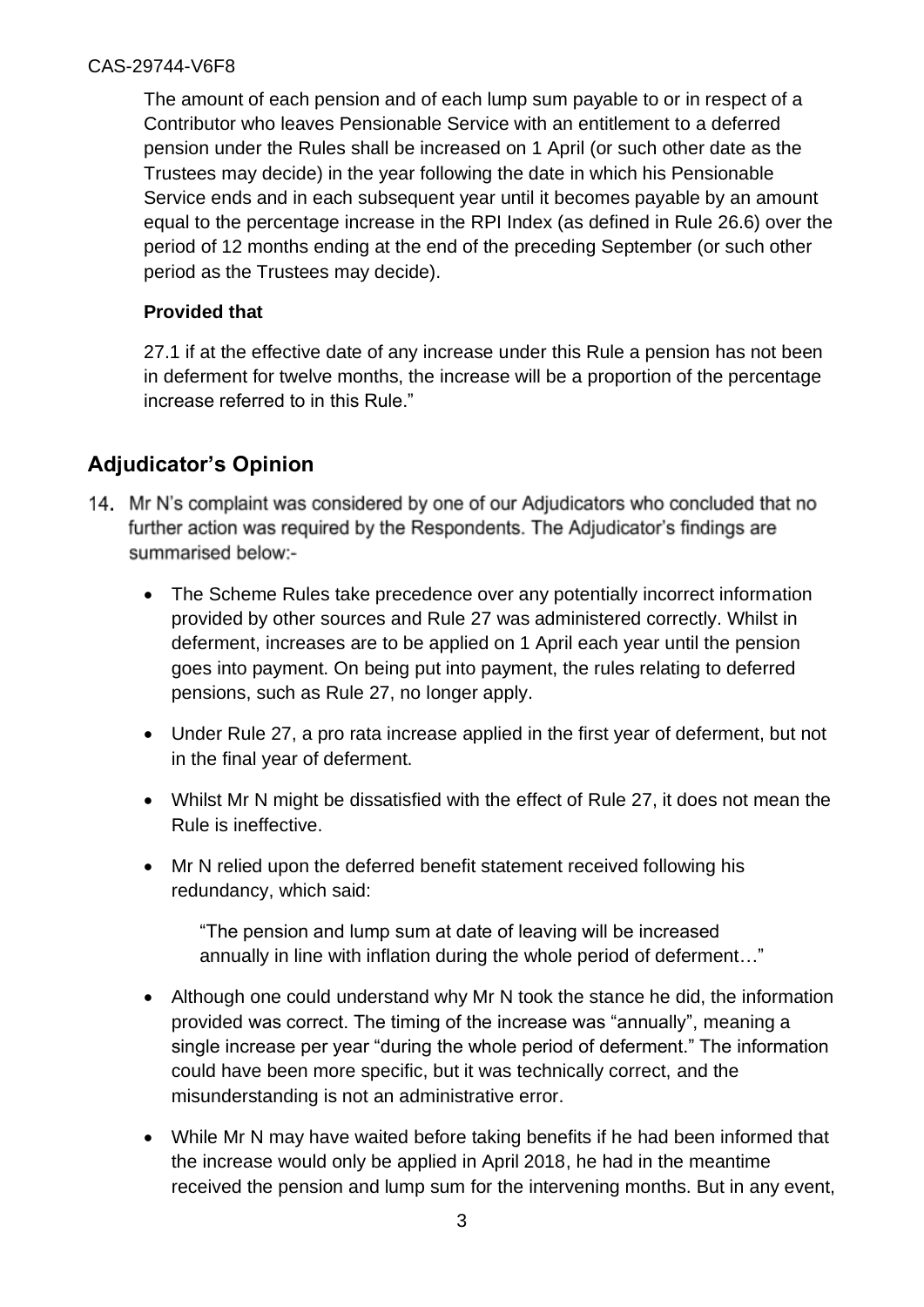The amount of each pension and of each lump sum payable to or in respect of a Contributor who leaves Pensionable Service with an entitlement to a deferred pension under the Rules shall be increased on 1 April (or such other date as the Trustees may decide) in the year following the date in which his Pensionable Service ends and in each subsequent year until it becomes payable by an amount equal to the percentage increase in the RPI Index (as defined in Rule 26.6) over the period of 12 months ending at the end of the preceding September (or such other period as the Trustees may decide).

## **Provided that**

27.1 if at the effective date of any increase under this Rule a pension has not been in deferment for twelve months, the increase will be a proportion of the percentage increase referred to in this Rule."

## **Adjudicator's Opinion**

- 14. Mr N's complaint was considered by one of our Adjudicators who concluded that no further action was required by the Respondents. The Adjudicator's findings are summarised below:-
	- The Scheme Rules take precedence over any potentially incorrect information provided by other sources and Rule 27 was administered correctly. Whilst in deferment, increases are to be applied on 1 April each year until the pension goes into payment. On being put into payment, the rules relating to deferred pensions, such as Rule 27, no longer apply.
	- Under Rule 27, a pro rata increase applied in the first year of deferment, but not in the final year of deferment.
	- Whilst Mr N might be dissatisfied with the effect of Rule 27, it does not mean the Rule is ineffective.
	- Mr N relied upon the deferred benefit statement received following his redundancy, which said:

"The pension and lump sum at date of leaving will be increased annually in line with inflation during the whole period of deferment…"

- Although one could understand why Mr N took the stance he did, the information provided was correct. The timing of the increase was "annually", meaning a single increase per year "during the whole period of deferment." The information could have been more specific, but it was technically correct, and the misunderstanding is not an administrative error.
- While Mr N may have waited before taking benefits if he had been informed that the increase would only be applied in April 2018, he had in the meantime received the pension and lump sum for the intervening months. But in any event,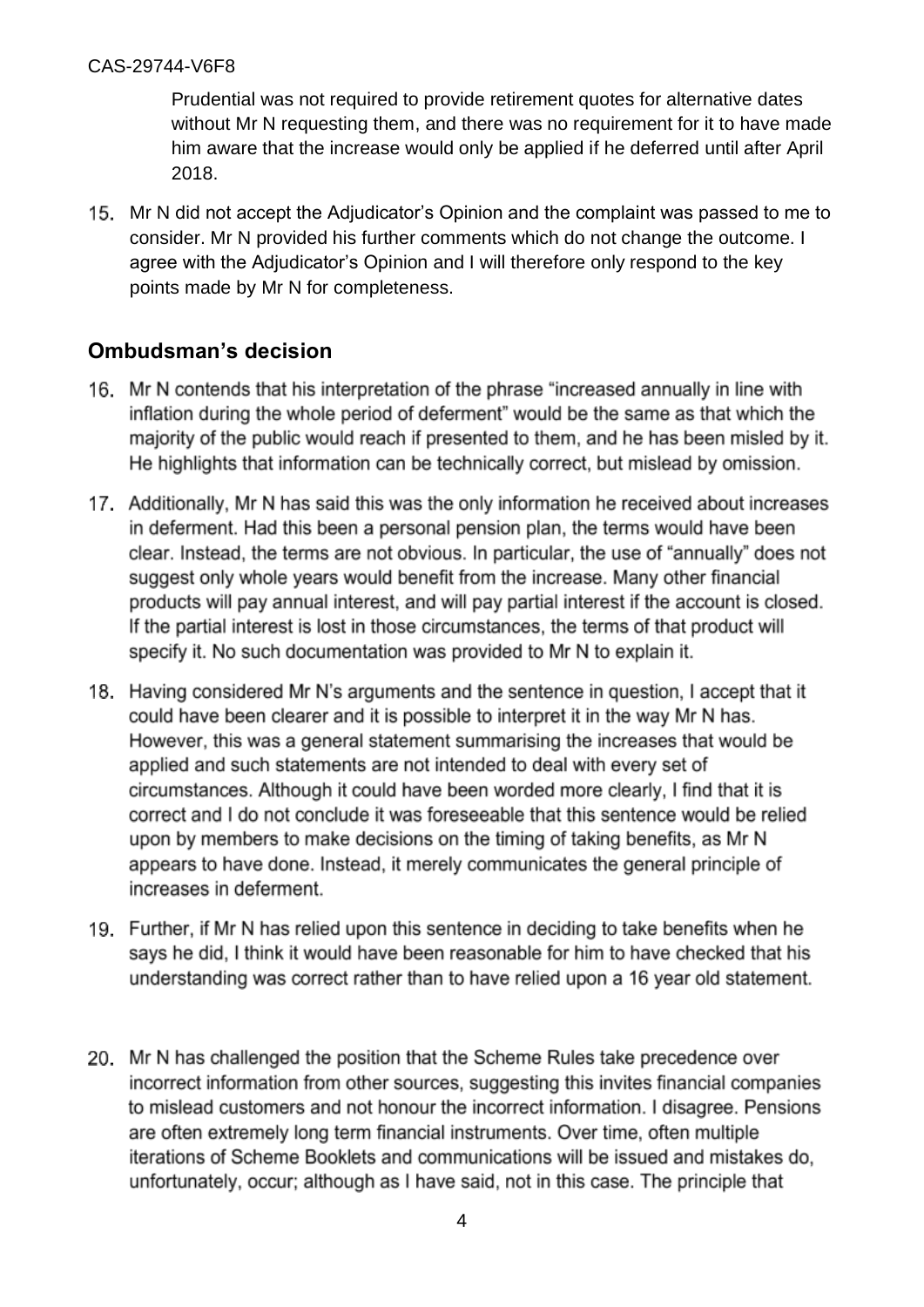#### CAS-29744-V6F8

Prudential was not required to provide retirement quotes for alternative dates without Mr N requesting them, and there was no requirement for it to have made him aware that the increase would only be applied if he deferred until after April 2018.

15. Mr N did not accept the Adjudicator's Opinion and the complaint was passed to me to consider. Mr N provided his further comments which do not change the outcome. I agree with the Adjudicator's Opinion and I will therefore only respond to the key points made by Mr N for completeness.

## **Ombudsman's decision**

- 16. Mr N contends that his interpretation of the phrase "increased annually in line with inflation during the whole period of deferment" would be the same as that which the majority of the public would reach if presented to them, and he has been misled by it. He highlights that information can be technically correct, but mislead by omission.
- 17. Additionally, Mr N has said this was the only information he received about increases in deferment. Had this been a personal pension plan, the terms would have been clear. Instead, the terms are not obvious. In particular, the use of "annually" does not suggest only whole years would benefit from the increase. Many other financial products will pay annual interest, and will pay partial interest if the account is closed. If the partial interest is lost in those circumstances, the terms of that product will specify it. No such documentation was provided to Mr N to explain it.
- 18. Having considered Mr N's arguments and the sentence in question. I accept that it could have been clearer and it is possible to interpret it in the way Mr N has. However, this was a general statement summarising the increases that would be applied and such statements are not intended to deal with every set of circumstances. Although it could have been worded more clearly. I find that it is correct and I do not conclude it was foreseeable that this sentence would be relied upon by members to make decisions on the timing of taking benefits, as Mr N appears to have done. Instead, it merely communicates the general principle of increases in deferment.
- 19. Further, if Mr N has relied upon this sentence in deciding to take benefits when he says he did, I think it would have been reasonable for him to have checked that his understanding was correct rather than to have relied upon a 16 year old statement.
- 20. Mr N has challenged the position that the Scheme Rules take precedence over incorrect information from other sources, suggesting this invites financial companies to mislead customers and not honour the incorrect information. I disagree. Pensions are often extremely long term financial instruments. Over time, often multiple iterations of Scheme Booklets and communications will be issued and mistakes do, unfortunately, occur; although as I have said, not in this case. The principle that